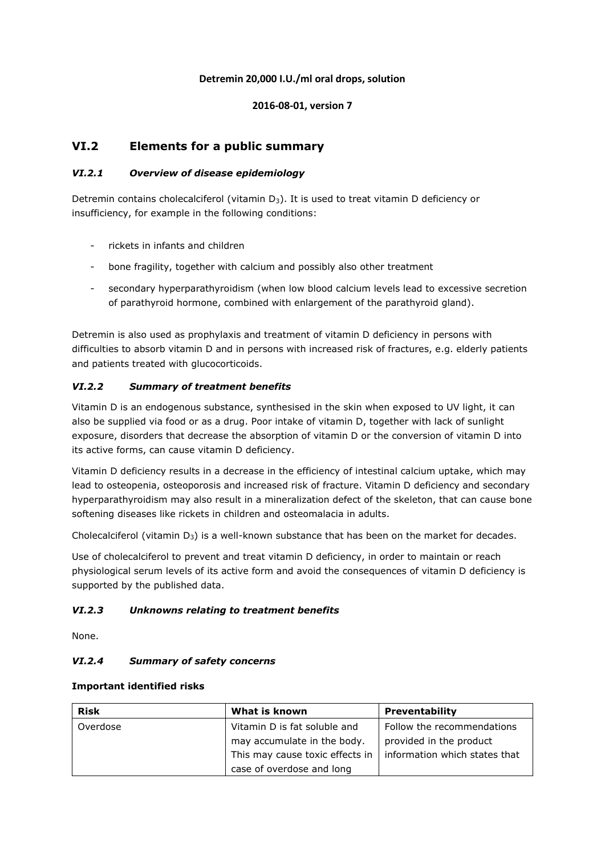# **Detremin 20,000 I.U./ml oral drops, solution**

### **2016-08-01, version 7**

# **VI.2 Elements for a public summary**

# *VI.2.1 Overview of disease epidemiology*

Detremin contains cholecalciferol (vitamin  $D_3$ ). It is used to treat vitamin D deficiency or insufficiency, for example in the following conditions:

- rickets in infants and children
- bone fragility, together with calcium and possibly also other treatment
- secondary hyperparathyroidism (when low blood calcium levels lead to excessive secretion of parathyroid hormone, combined with enlargement of the parathyroid gland).

Detremin is also used as prophylaxis and treatment of vitamin D deficiency in persons with difficulties to absorb vitamin D and in persons with increased risk of fractures, e.g. elderly patients and patients treated with glucocorticoids.

# *VI.2.2 Summary of treatment benefits*

Vitamin D is an endogenous substance, synthesised in the skin when exposed to UV light, it can also be supplied via food or as a drug. Poor intake of vitamin D, together with lack of sunlight exposure, disorders that decrease the absorption of vitamin D or the conversion of vitamin D into its active forms, can cause vitamin D deficiency.

Vitamin D deficiency results in a decrease in the efficiency of intestinal calcium uptake, which may lead to osteopenia, osteoporosis and increased risk of fracture. Vitamin D deficiency and secondary hyperparathyroidism may also result in a mineralization defect of the skeleton, that can cause bone softening diseases like rickets in children and osteomalacia in adults.

Cholecalciferol (vitamin  $D_3$ ) is a well-known substance that has been on the market for decades.

Use of cholecalciferol to prevent and treat vitamin D deficiency, in order to maintain or reach physiological serum levels of its active form and avoid the consequences of vitamin D deficiency is supported by the published data.

### *VI.2.3 Unknowns relating to treatment benefits*

None.

### *VI.2.4 Summary of safety concerns*

#### **Important identified risks**

| <b>Risk</b> | What is known                   | <b>Preventability</b>         |
|-------------|---------------------------------|-------------------------------|
| Overdose    | Vitamin D is fat soluble and    | Follow the recommendations    |
|             | may accumulate in the body.     | provided in the product       |
|             | This may cause toxic effects in | information which states that |
|             | case of overdose and long       |                               |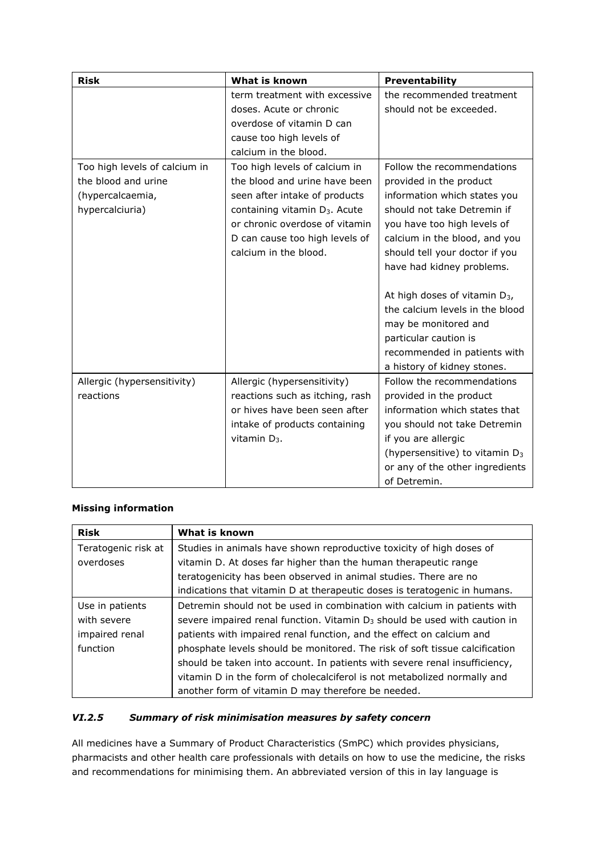| <b>Risk</b>                   | What is known                             | Preventability                             |
|-------------------------------|-------------------------------------------|--------------------------------------------|
|                               | term treatment with excessive             | the recommended treatment                  |
|                               | doses. Acute or chronic                   | should not be exceeded.                    |
|                               | overdose of vitamin D can                 |                                            |
|                               | cause too high levels of                  |                                            |
|                               | calcium in the blood.                     |                                            |
| Too high levels of calcium in | Too high levels of calcium in             | Follow the recommendations                 |
| the blood and urine           | the blood and urine have been             | provided in the product                    |
| (hypercalcaemia,              | seen after intake of products             | information which states you               |
| hypercalciuria)               | containing vitamin D <sub>3</sub> . Acute | should not take Detremin if                |
|                               | or chronic overdose of vitamin            | you have too high levels of                |
|                               | D can cause too high levels of            | calcium in the blood, and you              |
|                               | calcium in the blood.                     | should tell your doctor if you             |
|                               |                                           | have had kidney problems.                  |
|                               |                                           |                                            |
|                               |                                           | At high doses of vitamin D <sub>3</sub> ,  |
|                               |                                           | the calcium levels in the blood            |
|                               |                                           | may be monitored and                       |
|                               |                                           | particular caution is                      |
|                               |                                           | recommended in patients with               |
|                               |                                           | a history of kidney stones.                |
| Allergic (hypersensitivity)   | Allergic (hypersensitivity)               | Follow the recommendations                 |
| reactions                     | reactions such as itching, rash           | provided in the product                    |
|                               | or hives have been seen after             | information which states that              |
|                               | intake of products containing             | you should not take Detremin               |
|                               | vitamin $D_3$ .                           | if you are allergic                        |
|                               |                                           | (hypersensitive) to vitamin D <sub>3</sub> |
|                               |                                           | or any of the other ingredients            |
|                               |                                           | of Detremin.                               |

# **Missing information**

| <b>Risk</b>         | What is known                                                                |
|---------------------|------------------------------------------------------------------------------|
| Teratogenic risk at | Studies in animals have shown reproductive toxicity of high doses of         |
| overdoses           | vitamin D. At doses far higher than the human therapeutic range              |
|                     | teratogenicity has been observed in animal studies. There are no             |
|                     | indications that vitamin D at therapeutic doses is teratogenic in humans.    |
| Use in patients     | Detremin should not be used in combination with calcium in patients with     |
| with severe         | severe impaired renal function. Vitamin $D_3$ should be used with caution in |
| impaired renal      | patients with impaired renal function, and the effect on calcium and         |
| function            | phosphate levels should be monitored. The risk of soft tissue calcification  |
|                     | should be taken into account. In patients with severe renal insufficiency,   |
|                     | vitamin D in the form of cholecalciferol is not metabolized normally and     |
|                     | another form of vitamin D may therefore be needed.                           |

# *VI.2.5 Summary of risk minimisation measures by safety concern*

All medicines have a Summary of Product Characteristics (SmPC) which provides physicians, pharmacists and other health care professionals with details on how to use the medicine, the risks and recommendations for minimising them. An abbreviated version of this in lay language is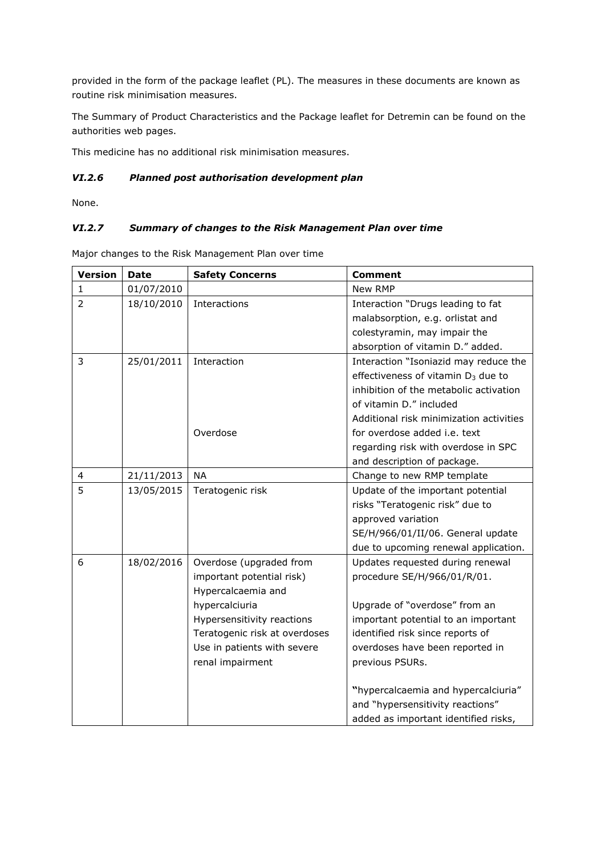provided in the form of the package leaflet (PL). The measures in these documents are known as routine risk minimisation measures.

The Summary of Product Characteristics and the Package leaflet for Detremin can be found on the authorities web pages.

This medicine has no additional risk minimisation measures.

#### *VI.2.6 Planned post authorisation development plan*

None.

# *VI.2.7 Summary of changes to the Risk Management Plan over time*

Major changes to the Risk Management Plan over time

| <b>Version</b> | <b>Date</b> | <b>Safety Concerns</b>        | <b>Comment</b>                                 |
|----------------|-------------|-------------------------------|------------------------------------------------|
| 1              | 01/07/2010  |                               | New RMP                                        |
| $\overline{2}$ | 18/10/2010  | Interactions                  | Interaction "Drugs leading to fat              |
|                |             |                               | malabsorption, e.g. orlistat and               |
|                |             |                               | colestyramin, may impair the                   |
|                |             |                               | absorption of vitamin D." added.               |
| 3              | 25/01/2011  | Interaction                   | Interaction "Isoniazid may reduce the          |
|                |             |                               | effectiveness of vitamin D <sub>3</sub> due to |
|                |             |                               | inhibition of the metabolic activation         |
|                |             |                               | of vitamin D." included                        |
|                |             |                               | Additional risk minimization activities        |
|                |             | Overdose                      | for overdose added i.e. text                   |
|                |             |                               | regarding risk with overdose in SPC            |
|                |             |                               | and description of package.                    |
| $\overline{4}$ | 21/11/2013  | <b>NA</b>                     | Change to new RMP template                     |
| 5              | 13/05/2015  | Teratogenic risk              | Update of the important potential              |
|                |             |                               | risks "Teratogenic risk" due to                |
|                |             |                               | approved variation                             |
|                |             |                               | SE/H/966/01/II/06. General update              |
|                |             |                               | due to upcoming renewal application.           |
| 6              | 18/02/2016  | Overdose (upgraded from       | Updates requested during renewal               |
|                |             | important potential risk)     | procedure SE/H/966/01/R/01.                    |
|                |             | Hypercalcaemia and            |                                                |
|                |             | hypercalciuria                | Upgrade of "overdose" from an                  |
|                |             | Hypersensitivity reactions    | important potential to an important            |
|                |             | Teratogenic risk at overdoses | identified risk since reports of               |
|                |             | Use in patients with severe   | overdoses have been reported in                |
|                |             | renal impairment              | previous PSURs.                                |
|                |             |                               | "hypercalcaemia and hypercalciuria"            |
|                |             |                               | and "hypersensitivity reactions"               |
|                |             |                               | added as important identified risks,           |